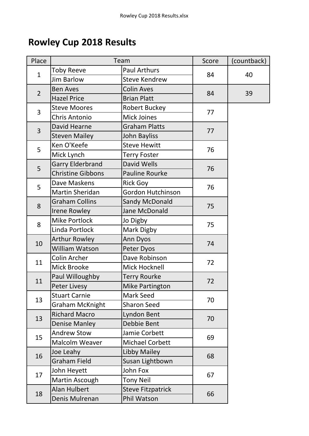## **Rowley Cup 2018 Results**

| Place          | Team                     |                          | Score | (countback) |
|----------------|--------------------------|--------------------------|-------|-------------|
| $\mathbf{1}$   | <b>Toby Reeve</b>        | <b>Paul Arthurs</b>      |       | 40          |
|                | <b>Jim Barlow</b>        | <b>Steve Kendrew</b>     | 84    |             |
| $\overline{2}$ | <b>Ben Aves</b>          | <b>Colin Aves</b>        |       | 39          |
|                | <b>Hazel Price</b>       | <b>Brian Platt</b>       | 84    |             |
| 3              | <b>Steve Moores</b>      | <b>Robert Buckey</b>     | 77    |             |
|                | Chris Antonio            | <b>Mick Joines</b>       |       |             |
| 3              | David Hearne             | <b>Graham Platts</b>     | 77    |             |
|                | <b>Steven Mailey</b>     | John Bayliss             |       |             |
| 5              | Ken O'Keefe              | <b>Steve Hewitt</b>      | 76    |             |
|                | Mick Lynch               | <b>Terry Foster</b>      |       |             |
| 5              | <b>Garry Elderbrand</b>  | <b>David Wells</b>       | 76    |             |
|                | <b>Christine Gibbons</b> | <b>Pauline Rourke</b>    |       |             |
|                | Dave Maskens             | <b>Rick Goy</b>          |       |             |
| 5              | Martin Sheridan          | Gordon Hutchinson        | 76    |             |
|                | <b>Graham Collins</b>    | <b>Sandy McDonald</b>    | 75    |             |
| 8              | <b>Irene Rowley</b>      | Jane McDonald            |       |             |
| 8              | <b>Mike Portlock</b>     | Jo Digby                 | 75    |             |
|                | Linda Portlock           | Mark Digby               |       |             |
| 10             | <b>Arthur Rowley</b>     | Ann Dyos                 | 74    |             |
|                | William Watson           | Peter Dyos               |       |             |
| 11             | Colin Archer             | Dave Robinson            | 72    |             |
|                | Mick Brooke              | Mick Hocknell            |       |             |
| 11             | Paul Willoughby          | <b>Terry Rourke</b>      | 72    |             |
|                | Peter Livesy             | <b>Mike Partington</b>   |       |             |
| 13             | <b>Stuart Carnie</b>     | Mark Seed                | 70    |             |
|                | <b>Graham McKnight</b>   | <b>Sharon Seed</b>       |       |             |
| 13             | <b>Richard Macro</b>     | Lyndon Bent              | 70    |             |
|                | <b>Denise Manley</b>     | Debbie Bent              |       |             |
| 15             | <b>Andrew Stow</b>       | Jamie Corbett            | 69    |             |
|                | <b>Malcolm Weaver</b>    | <b>Michael Corbett</b>   |       |             |
| 16             | Joe Leahy                | Libby Mailey             | 68    |             |
|                | <b>Graham Field</b>      | Susan Lightbown          |       |             |
| 17             | John Heyett              | John Fox                 | 67    |             |
|                | Martin Ascough           | <b>Tony Neil</b>         |       |             |
| 18             | Alan Hulbert             | <b>Steve Fitzpatrick</b> | 66    |             |
|                | Denis Mulrenan           | Phil Watson              |       |             |